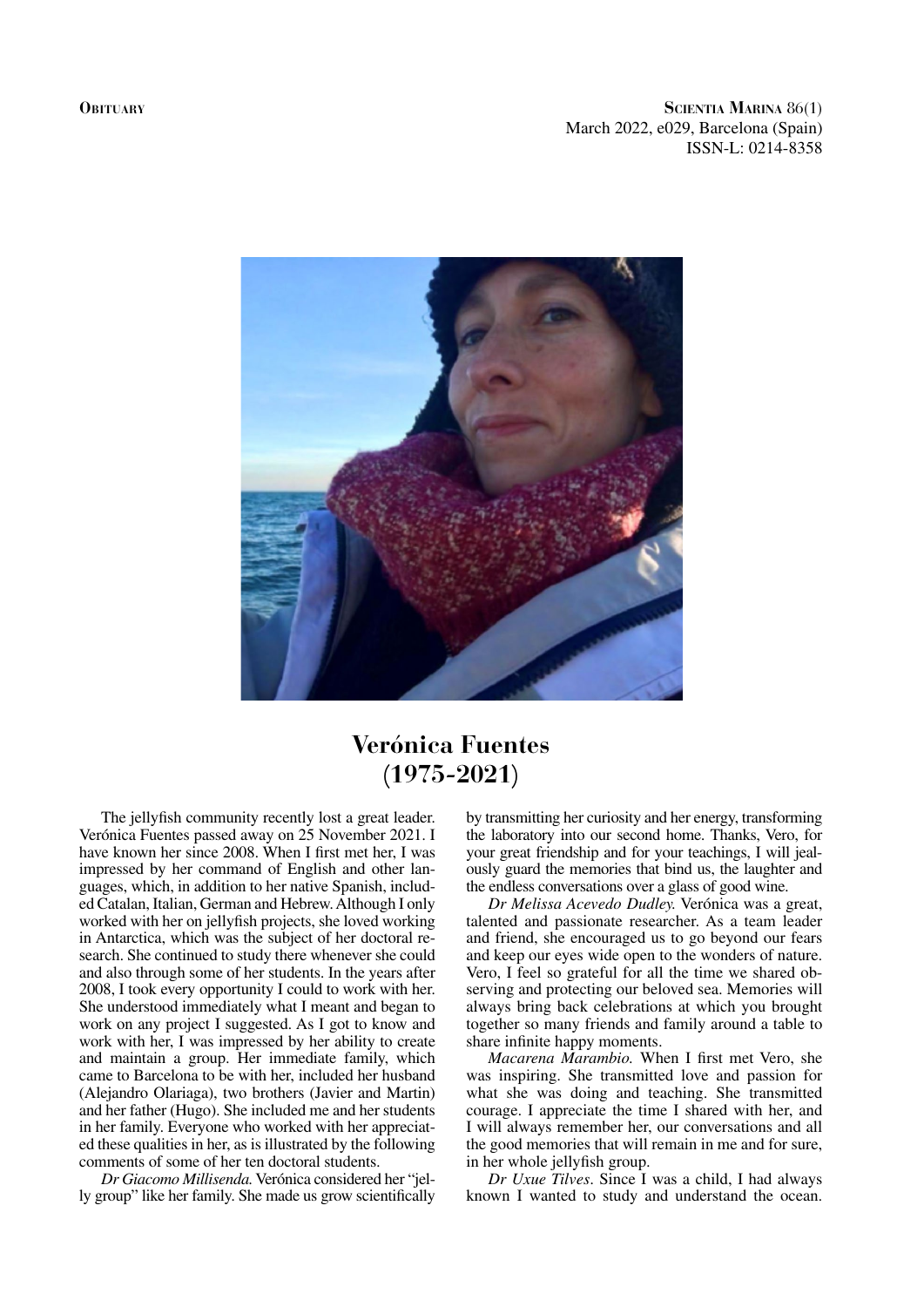**Obituary**

**Scientia Marina** 86(1) March 2022, e029, Barcelona (Spain) ISSN-L: 0214-8358



## **Verónica Fuentes (1975-2021)**

The jellyfish community recently lost a great leader. Verónica Fuentes passed away on 25 November 2021. I have known her since 2008. When I first met her, I was impressed by her command of English and other languages, which, in addition to her native Spanish, included Catalan, Italian, German and Hebrew. Although I only worked with her on jellyfish projects, she loved working in Antarctica, which was the subject of her doctoral research. She continued to study there whenever she could and also through some of her students. In the years after 2008, I took every opportunity I could to work with her. She understood immediately what I meant and began to work on any project I suggested. As I got to know and work with her, I was impressed by her ability to create and maintain a group. Her immediate family, which came to Barcelona to be with her, included her husband (Alejandro Olariaga), two brothers (Javier and Martin) and her father (Hugo). She included me and her students in her family. Everyone who worked with her appreciated these qualities in her, as is illustrated by the following comments of some of her ten doctoral students.

*Dr Giacomo Millisenda.* Verónica considered her "jelly group" like her family. She made us grow scientifically

by transmitting her curiosity and her energy, transforming the laboratory into our second home. Thanks, Vero, for your great friendship and for your teachings, I will jealously guard the memories that bind us, the laughter and the endless conversations over a glass of good wine.

*Dr Melissa Acevedo Dudley.* Verónica was a great, talented and passionate researcher. As a team leader and friend, she encouraged us to go beyond our fears and keep our eyes wide open to the wonders of nature. Vero, I feel so grateful for all the time we shared observing and protecting our beloved sea. Memories will always bring back celebrations at which you brought together so many friends and family around a table to share infinite happy moments.

*Macarena Marambio.* When I first met Vero, she was inspiring. She transmitted love and passion for what she was doing and teaching. She transmitted courage. I appreciate the time I shared with her, and I will always remember her, our conversations and all the good memories that will remain in me and for sure, in her whole jellyfish group.

*Dr Uxue Tilves*. Since I was a child, I had always known I wanted to study and understand the ocean.